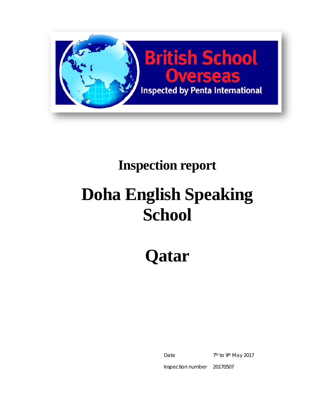

# **Inspection report**

# **Doha English Speaking School**

**Qatar** 

Date 7<sup>th</sup> to 9<sup>th</sup> May 2017

Inspection number 20170507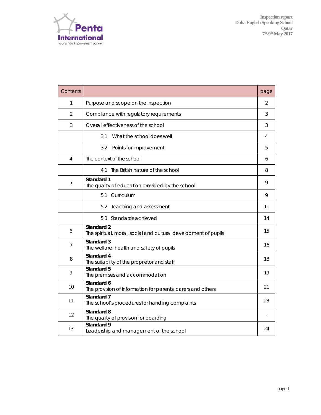

| Contents       |                                                                               | page |  |  |
|----------------|-------------------------------------------------------------------------------|------|--|--|
| 1              | Purpose and scope on the inspection                                           |      |  |  |
| $\overline{2}$ | Compliance with regulatory requirements                                       | 3    |  |  |
| 3              | Overall effectiveness of the school                                           | 3    |  |  |
|                | What the school does well<br>3.1                                              | 4    |  |  |
|                | 3.2<br>Points for improvement                                                 | 5    |  |  |
| 4              | The context of the school                                                     | 6    |  |  |
|                | The British nature of the school<br>4.1                                       | 8    |  |  |
| 5              | Standard 1<br>The quality of education provided by the school                 | 9    |  |  |
|                | 5.1 Curriculum                                                                | 9    |  |  |
|                | 5.2 Teaching and assessment                                                   | 11   |  |  |
|                | 5.3 Standards achieved                                                        | 14   |  |  |
| 6              | Standard 2<br>The spiritual, moral, social and cultural development of pupils | 15   |  |  |
| 7              | Standard 3<br>The welfare, health and safety of pupils                        | 16   |  |  |
| 8              | Standard 4<br>The suitability of the proprietor and staff                     | 18   |  |  |
| 9              | Standard 5<br>The premises and accommodation                                  | 19   |  |  |
| 10             | Standard 6<br>The provision of information for parents, carers and others     | 21   |  |  |
| 11             | Standard 7<br>The school's procedures for handling complaints                 | 23   |  |  |
| 12             | Standard 8<br>The quality of provision for boarding                           |      |  |  |
| 13             | Standard 9<br>Leadership and management of the school                         | 24   |  |  |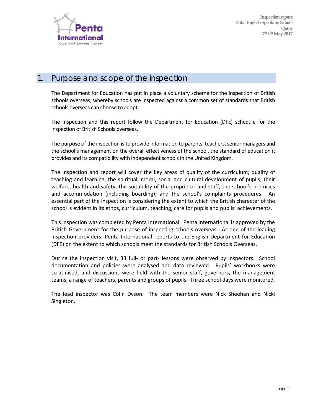

#### 1. Purpose and scope of the inspection

The Department for Education has put in place a voluntary scheme for the inspection of British schools overseas, whereby schools are inspected against a common set of standards that British schools overseas can choose to adopt.

The inspection and this report follow the Department for Education (DFE) schedule for the inspection of British Schools overseas.

The purpose of the inspection is to provide information to parents, teachers, senior managers and the school's management on the overall effectiveness of the school, the standard of education it provides and its compatibility with independent schools in the United Kingdom.

The inspection and report will cover the key areas of quality of the curriculum; quality of teaching and learning; the spiritual, moral, social and cultural development of pupils; their welfare, health and safety; the suitability of the proprietor and staff; the school's premises and accommodation (including boarding); and the school's complaints procedures. An essential part of the inspection is considering the extent to which the British character of the school is evident in its ethos, curriculum, teaching, care for pupils and pupils' achievements.

This inspection was completed by Penta International. Penta International is approved by the British Government for the purpose of inspecting schools overseas. As one of the leading inspection providers, Penta International reports to the English Department for Education (DFE) on the extent to which schools meet the standards for British Schools Overseas.

During the inspection visit, 33 full- or part- lessons were observed by inspectors. School documentation and policies were analysed and data reviewed. Pupils' workbooks were scrutinised, and discussions were held with the senior staff, governors, the management teams, a range of teachers, parents and groups of pupils. Three school days were monitored.

The lead inspector was Colin Dyson. The team members were Nick Sheehan and Nicki Singleton.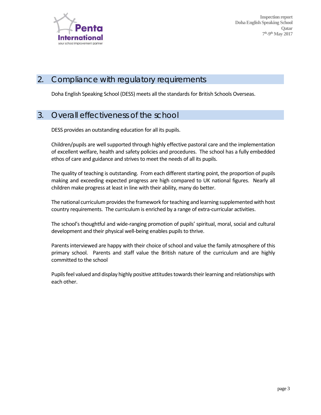

#### 2. Compliance with regulatory requirements

Doha English Speaking School (DESS) meets all the standardsfor British Schools Overseas.

#### 3. Overall effectiveness of the school

DESS provides an outstanding education for all its pupils.

Children/pupils are well supported through highly effective pastoral care and the implementation of excellent welfare, health and safety policies and procedures. The school has a fully embedded ethos of care and guidance and strives to meet the needs of all its pupils.

The quality of teaching is outstanding. From each different starting point, the proportion of pupils making and exceeding expected progress are high compared to UK national figures. Nearly all children make progress at least in line with their ability, many do better.

The national curriculum provides the framework for teaching and learning supplemented with host country requirements. The curriculum is enriched by a range of extra-curricular activities.

The school's thoughtful and wide‐ranging promotion of pupils' spiritual, moral, social and cultural development and their physical well-being enables pupils to thrive.

Parents interviewed are happy with their choice of school and value the family atmosphere of this primary school. Parents and staff value the British nature of the curriculum and are highly committed to the school

Pupils feel valued and display highly positive attitudes towards their learning and relationships with each other.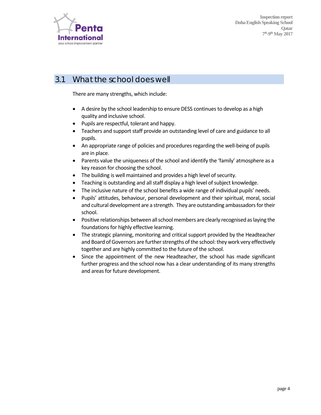

#### 3.1 What the school does well

There are many strengths, which include:

- A desire by the school leadership to ensure DESS continuesto develop as a high quality and inclusive school.
- Pupils are respectful, tolerant and happy.
- Teachers and support staff provide an outstanding level of care and guidance to all pupils.
- An appropriate range of policies and procedures regarding the well-being of pupils are in place.
- Parents value the uniqueness of the school and identify the 'family' atmosphere as a key reason for choosing the school.
- The building is well maintained and provides a high level of security.
- Teaching is outstanding and all staff display a high level of subject knowledge.
- The inclusive nature of the school benefits a wide range of individual pupils' needs.
- Pupils' attitudes, behaviour, personal development and their spiritual, moral, social and cultural development are a strength. They are outstanding ambassadors for their school.
- Positive relationships between all school members are clearly recognised as laying the foundations for highly effective learning.
- The strategic planning, monitoring and critical support provided by the Headteacher and Board of Governors are further strengths of the school: they work very effectively together and are highly committed to the future of the school.
- Since the appointment of the new Headteacher, the school has made significant further progress and the school now has a clear understanding of its many strengths and areas for future development.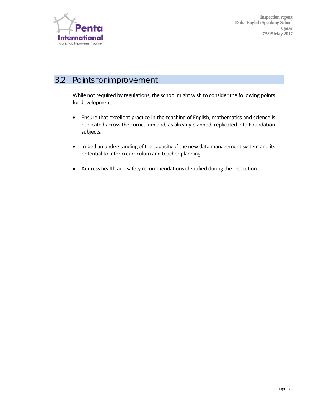

# 3.2 Points for improvement

While not required by regulations, the school might wish to consider the following points for development:

- Ensure that excellent practice in the teaching of English, mathematics and science is replicated across the curriculum and, as already planned, replicated into Foundation subjects.
- Imbed an understanding of the capacity of the new data management system and its potential to inform curriculum and teacher planning.
- Address health and safety recommendations identified during the inspection.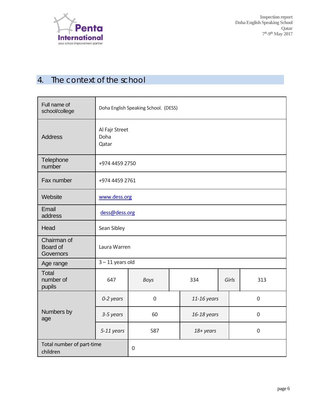

# 4. The context of the school

| Full name of<br>school/college                       | Doha English Speaking School. (DESS) |                  |  |               |  |                  |  |
|------------------------------------------------------|--------------------------------------|------------------|--|---------------|--|------------------|--|
| <b>Address</b>                                       | Al Fajr Street<br>Doha<br>Qatar      |                  |  |               |  |                  |  |
| Telephone<br>number                                  | +974 4459 2750                       |                  |  |               |  |                  |  |
| Fax number                                           | +974 4459 2761                       |                  |  |               |  |                  |  |
| Website                                              | www.dess.org                         |                  |  |               |  |                  |  |
| Email<br>address                                     | dess@dess.org                        |                  |  |               |  |                  |  |
| Head                                                 | Sean Sibley                          |                  |  |               |  |                  |  |
| Chairman of<br>Board of<br>Laura Warren<br>Governors |                                      |                  |  |               |  |                  |  |
| Age range                                            | $3 - 11$ years old                   |                  |  |               |  |                  |  |
| <b>Total</b><br>number of<br>pupils                  | 647                                  | <b>Boys</b>      |  | 334           |  | Girls<br>313     |  |
|                                                      | 0-2 years                            | $\boldsymbol{0}$ |  | $11-16$ years |  | $\mathbf 0$      |  |
| Numbers by<br>age                                    | 3-5 years                            | 60               |  | 16-18 years   |  | $\mathbf 0$      |  |
|                                                      | 5-11 years                           | 587              |  | 18+ years     |  | $\boldsymbol{0}$ |  |
| Total number of part-time<br>children                | $\mathbf 0$                          |                  |  |               |  |                  |  |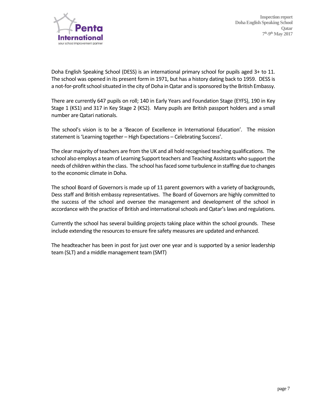

Doha English Speaking School (DESS) is an international primary school for pupils aged 3+ to 11. The school was opened in its present form in 1971, but has a history dating back to 1959. DESS is a not-for-profit school situated in the city of Doha in Qatar and is sponsored by the British Embassy.

There are currently 647 pupils on roll; 140 in Early Years and Foundation Stage (EYFS), 190 in Key Stage 1 (KS1) and 317 in Key Stage 2 (KS2). Many pupils are British passport holders and a small number are Qatari nationals.

The school's vision is to be a 'Beacon of Excellence in International Education'. The mission statement is'Learning together – High Expectations – Celebrating Success'.

The clear majority of teachers are from the UK and all hold recognised teaching qualifications. The school also employs a team of Learning Support teachers and Teaching Assistants who support the needs of children within the class. The school hasfaced some turbulence in staffing due to changes to the economic climate in Doha.

The school Board of Governors is made up of 11 parent governors with a variety of backgrounds, Dess staff and British embassy representatives. The Board of Governors are highly committed to the success of the school and oversee the management and development of the school in accordance with the practice of British and international schools and Qatar's laws and regulations.

Currently the school has several building projects taking place within the school grounds. These include extending the resources to ensure fire safety measures are updated and enhanced.

The headteacher has been in post for just over one year and is supported by a senior leadership team (SLT) and a middle management team (SMT)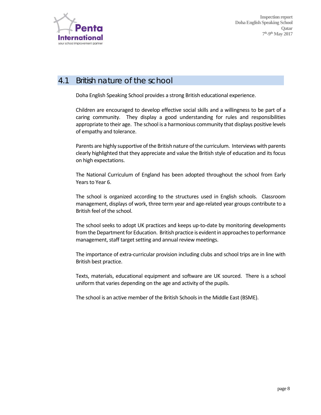

#### 4.1 British nature of the school

Doha English Speaking School provides a strong British educational experience.

Children are encouraged to develop effective social skills and a willingness to be part of a caring community. They display a good understanding for rules and responsibilities appropriate to their age. The school is a harmonious community that displays positive levels of empathy and tolerance.

Parents are highly supportive of the British nature of the curriculum. Interviews with parents clearly highlighted that they appreciate and value the British style of education and itsfocus on high expectations.

The National Curriculum of England has been adopted throughout the school from Early Years to Year 6.

The school is organized according to the structures used in English schools. Classroom management, displays of work, three term year and age-related year groups contribute to a British feel of the school.

The school seeks to adopt UK practices and keeps up-to-date by monitoring developments from the Department for Education. British practice is evident in approaches to performance management, staff target setting and annual review meetings.

The importance of extra-curricular provision including clubs and school trips are in line with British best practice.

Texts, materials, educational equipment and software are UK sourced. There is a school uniform that varies depending on the age and activity of the pupils.

The school is an active member of the British Schools in the Middle East (BSME).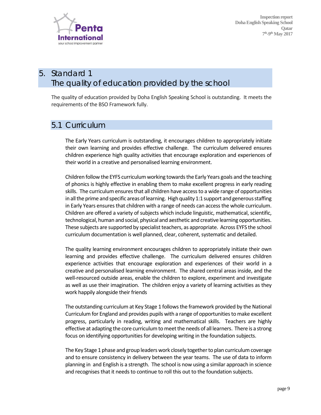

# *5. Standard 1*  The quality of education provided by the school

The quality of education provided by Doha English Speaking School is outstanding. It meets the requirements of the BSO Framework fully.

#### 5.1 Curriculum

The Early Years curriculum is outstanding, it encourages children to appropriately initiate their own learning and provides effective challenge. The curriculum delivered ensures children experience high quality activities that encourage exploration and experiences of their world in a creative and personalised learning environment.

Children follow the EYFS curriculumworking towardsthe Early Years goals and the teaching of phonics is highly effective in enabling them to make excellent progress in early reading skills. The curriculum ensures that all children have access to a wide range of opportunities in all the prime and specific areas of learning. High quality 1:1 support and generous staffing in Early Years ensures that children with a range of needs can access the whole curriculum. Children are offered a variety of subjects which include linguistic, mathematical, scientific, technological, human and social, physical and aesthetic and creative learning opportunities. These subjects are supported by specialist teachers, as appropriate. Across EYFS the school curriculum documentation is well planned, clear, coherent, systematic and detailed.

The quality learning environment encourages children to appropriately initiate their own learning and provides effective challenge. The curriculum delivered ensures children experience activities that encourage exploration and experiences of their world in a creative and personalised learning environment. The shared central areas inside, and the well-resourced outside areas, enable the children to explore, experiment and investigate as well as use their imagination. The children enjoy a variety of learning activities as they work happily alongside their friends

The outstanding curriculum at Key Stage 1 followsthe framework provided by the National Curriculum for England and provides pupils with a range of opportunities to make excellent progress, particularly in reading, writing and mathematical skills. Teachers are highly effective at adapting the core curriculum to meet the needs of all learners. There is a strong focus on identifying opportunities for developing writing in the foundation subjects.

The Key Stage 1 phase and group leaders work closely together to plan curriculum coverage and to ensure consistency in delivery between the year teams. The use of data to inform planning in and English is a strength. The school is now using a similar approach in science and recognises that it needs to continue to roll this out to the foundation subjects.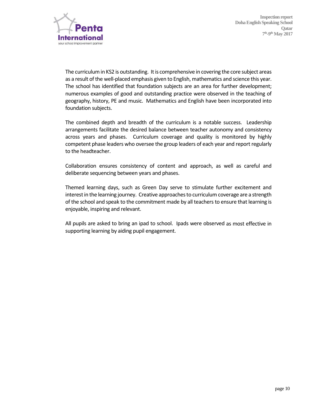

The curriculum in KS2 is outstanding. It is comprehensive in covering the core subject areas as a result of the well-placed emphasis given to English, mathematics and science this year. The school has identified that foundation subjects are an area for further development; numerous examples of good and outstanding practice were observed in the teaching of geography, history, PE and music. Mathematics and English have been incorporated into foundation subjects.

The combined depth and breadth of the curriculum is a notable success. Leadership arrangements facilitate the desired balance between teacher autonomy and consistency across years and phases. Curriculum coverage and quality is monitored by highly competent phase leaders who oversee the group leaders of each year and report regularly to the headteacher.

Collaboration ensures consistency of content and approach, as well as careful and deliberate sequencing between years and phases.

Themed learning days, such as Green Day serve to stimulate further excitement and interest in the learning journey. Creative approaches to curriculum coverage are a strength of the school and speak to the commitment made by all teachers to ensure that learning is enjoyable, inspiring and relevant.

All pupils are asked to bring an ipad to school. Ipads were observed as most effective in supporting learning by aiding pupil engagement.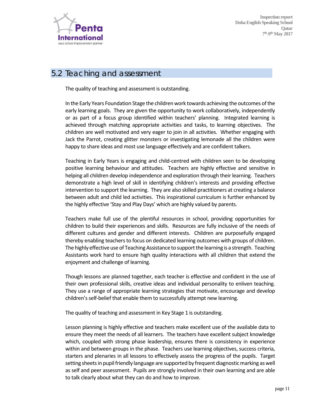

#### 5.2 Teaching and assessment

The quality of teaching and assessment is outstanding.

In the Early Years Foundation Stage the children work towards achieving the outcomes ofthe early learning goals. They are given the opportunity to work collaboratively, independently or as part of a focus group identified within teachers' planning. Integrated learning is achieved through matching appropriate activities and tasks, to learning objectives. The children are well motivated and very eager to join in all activities. Whether engaging with Jack the Parrot, creating glitter monsters or investigating lemonade all the children were happy to share ideas and most use language effectively and are confident talkers.

Teaching in Early Years is engaging and child‐centred with children seen to be developing positive learning behaviour and attitudes. Teachers are highly effective and sensitive in helping all children develop independence and exploration through their learning. Teachers demonstrate a high level of skill in identifying children's interests and providing effective intervention to support the learning. They are also skilled practitioners at creating a balance between adult and child led activities. This inspirational curriculum is further enhanced by the highly effective 'Stay and Play Days' which are highly valued by parents.

Teachers make full use of the plentiful resources in school, providing opportunities for children to build their experiences and skills. Resources are fully inclusive of the needs of different cultures and gender and different interests. Children are purposefully engaged thereby enabling teachers to focus on dedicated learning outcomes with groups of children. The highly effective use of Teaching Assistance to support the learning is a strength. Teaching Assistants work hard to ensure high quality interactions with all children that extend the enjoyment and challenge of learning.

Though lessons are planned together, each teacher is effective and confident in the use of their own professional skills, creative ideas and individual personality to enliven teaching. They use a range of appropriate learning strategies that motivate, encourage and develop children'sself‐belief that enable them to successfully attempt new learning.

The quality of teaching and assessment in Key Stage 1 is outstanding.

Lesson planning is highly effective and teachers make excellent use of the available data to ensure they meet the needs of all learners. The teachers have excellent subject knowledge which, coupled with strong phase leadership, ensures there is consistency in experience within and between groups in the phase. Teachers use learning objectives, success criteria, starters and plenaries in all lessons to effectively assess the progress of the pupils. Target setting sheets in pupil friendly language are supported by frequent diagnostic marking as well as self and peer assessment. Pupils are strongly involved in their own learning and are able to talk clearly about what they can do and how to improve.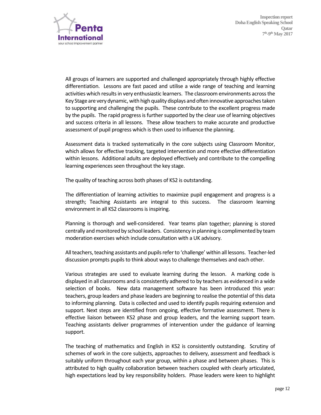

All groups of learners are supported and challenged appropriately through highly effective differentiation. Lessons are fast paced and utilise a wide range of teaching and learning activities which results in very enthusiastic learners. The classroom environments across the Key Stage are very dynamic, with high quality displays and often innovative approaches taken to supporting and challenging the pupils. These contribute to the excellent progress made by the pupils. The rapid progress is further supported by the clear use of learning objectives and success criteria in all lessons. These allow teachers to make accurate and productive assessment of pupil progress which is then used to influence the planning.

Assessment data is tracked systematically in the core subjects using Classroom Monitor, which allows for effective tracking, targeted intervention and more effective differentiation within lessons. Additional adults are deployed effectively and contribute to the compelling learning experiences seen throughout the key stage.

The quality of teaching across both phases of KS2 is outstanding.

The differentiation of learning activities to maximize pupil engagement and progress is a strength; Teaching Assistants are integral to this success. The classroom learning environment in all KS2 classrooms is inspiring.

Planning is thorough and well-considered. Year teams plan together; planning is stored centrally and monitored by school leaders. Consistency in planning is complimented by team moderation exercises which include consultation with a UK advisory.

All teachers, teaching assistants and pupils refer to 'challenge' within all lessons. Teacher-led discussion prompts pupils to think about ways to challenge themselves and each other.

Various strategies are used to evaluate learning during the lesson. A marking code is displayed in all classrooms and is consistently adhered to by teachers as evidenced in a wide selection of books. New data management software has been introduced this year: teachers, group leaders and phase leaders are beginning to realise the potential of this data to informing planning. Data is collected and used to identify pupils requiring extension and support. Next steps are identified from ongoing, effective formative assessment. There is effective liaison between KS2 phase and group leaders, and the learning support team. Teaching assistants deliver programmes of intervention under the guidance of learning support.

The teaching of mathematics and English in KS2 is consistently outstanding. Scrutiny of schemes of work in the core subjects, approaches to delivery, assessment and feedback is suitably uniform throughout each year group, within a phase and between phases. This is attributed to high quality collaboration between teachers coupled with clearly articulated, high expectations lead by key responsibility holders. Phase leaders were keen to highlight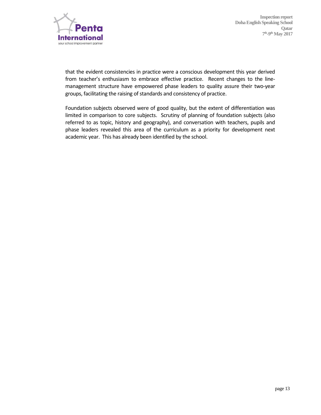

that the evident consistencies in practice were a conscious development this year derived from teacher's enthusiasm to embrace effective practice. Recent changes to the linemanagement structure have empowered phase leaders to quality assure their two‐year groups, facilitating the raising of standards and consistency of practice.

Foundation subjects observed were of good quality, but the extent of differentiation was limited in comparison to core subjects. Scrutiny of planning of foundation subjects (also referred to as topic, history and geography), and conversation with teachers, pupils and phase leaders revealed this area of the curriculum as a priority for development next academic year. This has already been identified by the school.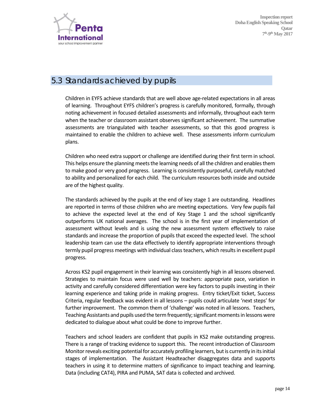

#### 5.3 Standards achieved by pupils

Children in EYFS achieve standards that are well above age‐related expectations in all areas of learning. Throughout EYFS children's progress is carefully monitored, formally, through noting achievement in focused detailed assessments and informally, throughout each term when the teacher or classroom assistant observes significant achievement. The summative assessments are triangulated with teacher assessments, so that this good progress is maintained to enable the children to achieve well. These assessments inform curriculum plans.

Children who need extra support or challenge are identified during their first term in school. This helps ensure the planning meets the learning needs of all the children and enables them to make good or very good progress. Learning is consistently purposeful, carefully matched to ability and personalized for each child. The curriculum resources both inside and outside are of the highest quality.

The standards achieved by the pupils at the end of key stage 1 are outstanding. Headlines are reported in terms of those children who are meeting expectations. Very few pupils fail to achieve the expected level at the end of Key Stage 1 and the school significantly outperforms UK national averages. The school is in the first year of implementation of assessment without levels and is using the new assessment system effectively to raise standards and increase the proportion of pupils that exceed the expected level. The school leadership team can use the data effectively to identify appropriate interventions through termly pupil progress meetings with individual class teachers, which results in excellent pupil progress.

Across KS2 pupil engagement in their learning was consistently high in all lessons observed. Strategies to maintain focus were used well by teachers: appropriate pace, variation in activity and carefully considered differentiation were key factors to pupils investing in their learning experience and taking pride in making progress. Entry ticket/Exit ticket, Success Criteria, regular feedback was evident in all lessons – pupils could articulate 'next steps' for further improvement. The common them of 'challenge' was noted in all lessons. Teachers, Teaching Assistants and pupils used the term frequently; significant moments in lessons were dedicated to dialogue about what could be done to improve further.

Teachers and school leaders are confident that pupils in KS2 make outstanding progress. There is a range of tracking evidence to support this. The recent introduction of Classroom Monitor reveals exciting potential for accurately profiling learners, but is currently in its initial stages of implementation. The Assistant Headteacher disaggregates data and supports teachers in using it to determine matters of significance to impact teaching and learning. Data (including CAT4), PIRA and PUMA, SAT data is collected and archived.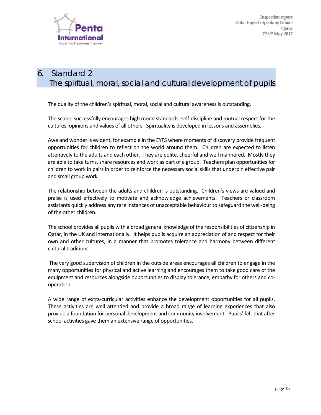

# *6. Standard 2*  The spiritual, moral, social and cultural development of pupils

The quality of the children's spiritual, moral, social and cultural awareness is outstanding.

The school successfully encourages high moral standards, self‐discipline and mutual respect for the cultures, opinions and values of all others. Spirituality is developed in lessons and assemblies.

Awe and wonder is evident, for example in the EYFS where moments of discovery provide frequent opportunities for children to reflect on the world around them. Children are expected to listen attentively to the adults and each other. They are polite, cheerful and well mannered. Mostly they are able to take turns, share resources and work as part of a group. Teachers plan opportunities for children to work in pairs in order to reinforce the necessary social skills that underpin effective pair and small group work.

The relationship between the adults and children is outstanding. Children's views are valued and praise is used effectively to motivate and acknowledge achievements. Teachers or classroom assistants quickly address any rare instances of unacceptable behaviour to safeguard the well‐being of the other children.

The school provides all pupils with a broad general knowledge of the responsibilities of citizenship in Qatar, in the UK and internationally. It helps pupils acquire an appreciation of and respect for their own and other cultures, in a manner that promotes tolerance and harmony between different cultural traditions.

The very good supervision of children in the outside areas encourages all children to engage in the many opportunities for physical and active learning and encourages them to take good care of the equipment and resources alongside opportunities to display tolerance, empathy for others and co‐ operation.

A wide range of extra‐curricular activities enhance the development opportunities for all pupils. These activities are well attended and provide a broad range of learning experiences that also provide a foundation for personal development and community involvement. Pupils' felt that after school activities gave them an extensive range of opportunities.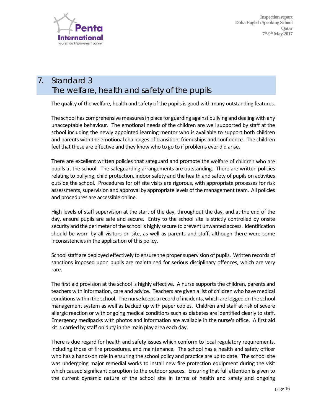

# *7. Standard 3*  The welfare, health and safety of the pupils

The quality of the welfare, health and safety of the pupils is good with many outstanding features.

The school has comprehensive measures in place for guarding against bullying and dealing with any unacceptable behaviour. The emotional needs of the children are well supported by staff at the school including the newly appointed learning mentor who is available to support both children and parents with the emotional challenges of transition, friendships and confidence. The children feel that these are effective and they know who to go to if problems ever did arise.

There are excellent written policies that safeguard and promote the welfare of children who are pupils at the school. The safeguarding arrangements are outstanding. There are written policies relating to bullying, child protection, indoor safety and the health and safety of pupils on activities outside the school. Procedures for off site visits are rigorous, with appropriate processes for risk assessments, supervision and approval by appropriate levels of the management team. All policies and procedures are accessible online.

High levels of staff supervision at the start of the day, throughout the day, and at the end of the day, ensure pupils are safe and secure. Entry to the school site is strictly controlled by onsite security and the perimeter of the school is highly secure to prevent unwanted access. Identification should be worn by all visitors on site, as well as parents and staff, although there were some inconsistencies in the application of this policy.

School staff are deployed effectively to ensure the proper supervision of pupils. Written records of sanctions imposed upon pupils are maintained for serious disciplinary offences, which are very rare.

The first aid provision at the school is highly effective. A nurse supports the children, parents and teachers with information, care and advice. Teachers are given a list of children who have medical conditions within the school. The nurse keeps a record ofincidents, which are logged on the school management system as well as backed up with paper copies. Children and staff at risk of severe allergic reaction or with ongoing medical conditions such as diabetes are identified clearly to staff. Emergency medipacks with photos and information are available in the nurse's office. A first aid kit is carried by staff on duty in the main play area each day.

There is due regard for health and safety issues which conform to local regulatory requirements, including those of fire procedures, and maintenance. The school has a health and safety officer who has a hands-on role in ensuring the school policy and practice are up to date. The school site was undergoing major remedial works to install new fire protection equipment during the visit which caused significant disruption to the outdoor spaces. Ensuring that full attention is given to the current dynamic nature of the school site in terms of health and safety and ongoing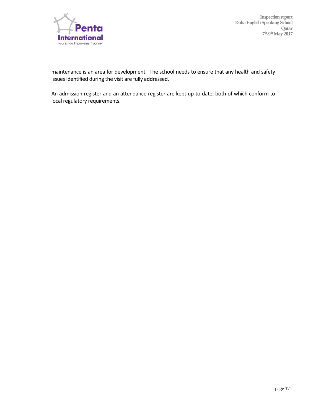

maintenance is an area for development. The school needs to ensure that any health and safety issues identified during the visit are fully addressed.

An admission register and an attendance register are kept up-to-date, both of which conform to local regulatory requirements.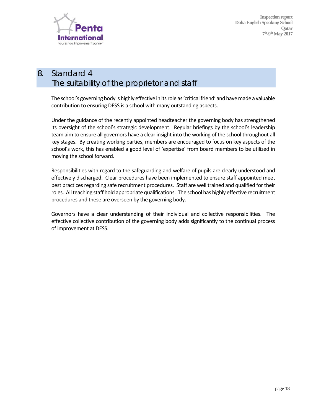

# *8. Standard 4*  The suitability of the proprietor and staff

The school's governing body is highly effective in its role as 'critical friend' and have made a valuable contribution to ensuring DESS is a school with many outstanding aspects.

Under the guidance of the recently appointed headteacher the governing body has strengthened its oversight of the school's strategic development. Regular briefings by the school's leadership team aim to ensure all governors have a clear insight into the working of the school throughout all key stages. By creating working parties, members are encouraged to focus on key aspects of the school's work, this has enabled a good level of 'expertise' from board members to be utilized in moving the school forward.

Responsibilities with regard to the safeguarding and welfare of pupils are clearly understood and effectively discharged. Clear procedures have been implemented to ensure staff appointed meet best practices regarding safe recruitment procedures. Staff are well trained and qualified for their roles. All teaching staff hold appropriate qualifications. The school has highly effective recruitment procedures and these are overseen by the governing body.

Governors have a clear understanding of their individual and collective responsibilities. The effective collective contribution of the governing body adds significantly to the continual process of improvement at DESS.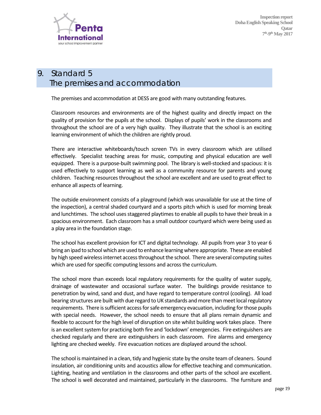

# *9. Standard 5*  The premises and accommodation

The premises and accommodation at DESS are good with many outstanding features.

Classroom resources and environments are of the highest quality and directly impact on the quality of provision for the pupils at the school. Displays of pupils' work in the classrooms and throughout the school are of a very high quality. They illustrate that the school is an exciting learning environment of which the children are rightly proud.

There are interactive whiteboards/touch screen TVs in every classroom which are utilised effectively. Specialist teaching areas for music, computing and physical education are well equipped. There is a purpose-built swimming pool. The library is well-stocked and spacious: it is used effectively to support learning as well as a community resource for parents and young children. Teaching resourcesthroughout the school are excellent and are used to great effect to enhance all aspects of learning.

The outside environment consists of a playground (which was unavailable for use at the time of the inspection), a central shaded courtyard and a sports pitch which is used for morning break and lunchtimes. The school uses staggered playtimes to enable all pupils to have their break in a spacious environment. Each classroom has a small outdoor courtyard which were being used as a play area in the foundation stage.

The school has excellent provision for ICT and digital technology. All pupils from year 3 to year 6 bring an ipad to school which are used to enhance learning where appropriate. These are enabled by high speed wireless internet access throughout the school. There are several computing suites which are used for specific computing lessons and across the curriculum.

The school more than exceeds local regulatory requirements for the quality of water supply, drainage of wastewater and occasional surface water. The buildings provide resistance to penetration by wind, sand and dust, and have regard to temperature control (cooling). All load bearing structures are built with due regard to UK standards and more than meet local regulatory requirements. There is sufficient access for safe emergency evacuation, including for those pupils with special needs. However, the school needs to ensure that all plans remain dynamic and flexible to account for the high level of disruption on site whilst building work takes place. There is an excellent system for practicing both fire and 'lockdown' emergencies. Fire extinguishers are checked regularly and there are extinguishers in each classroom. Fire alarms and emergency lighting are checked weekly. Fire evacuation notices are displayed around the school.

The school is maintained in a clean, tidy and hygienic state by the onsite team of cleaners. Sound insulation, air conditioning units and acoustics allow for effective teaching and communication. Lighting, heating and ventilation in the classrooms and other parts of the school are excellent. The school is well decorated and maintained, particularly in the classrooms. The furniture and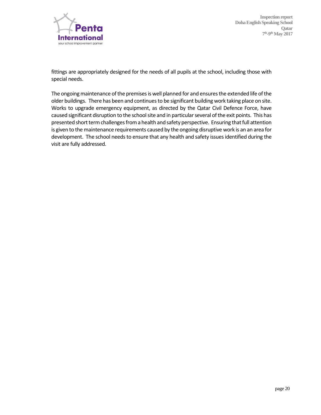

fittings are appropriately designed for the needs of all pupils at the school, including those with special needs.

The ongoing maintenance of the premises is well planned for and ensures the extended life of the older buildings. There has been and continues to be significant building work taking place on site. Works to upgrade emergency equipment, as directed by the Qatar Civil Defence Force, have caused significant disruption to the school site and in particular several of the exit points. This has presented short term challenges from a health and safety perspective. Ensuring that full attention is given to the maintenance requirements caused by the ongoing disruptive work is an an area for development. The school needs to ensure that any health and safety issues identified during the visit are fully addressed.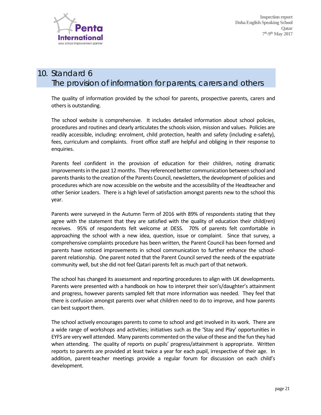

# *10. Standard 6*  The provision of information for parents, carers and others

The quality of information provided by the school for parents, prospective parents, carers and others is outstanding.

The school website is comprehensive. It includes detailed information about school policies, procedures and routines and clearly articulates the schools vision, mission and values. Policies are readily accessible, including: enrolment, child protection, health and safety (including e‐safety), fees, curriculum and complaints. Front office staff are helpful and obliging in their response to enquiries.

Parents feel confident in the provision of education for their children, noting dramatic improvements in the past 12 months. They referenced better communication between school and parents thanks to the creation of the Parents Council, newsletters, the development of policies and procedures which are now accessible on the website and the accessibility of the Headteacher and other Senior Leaders. There is a high level of satisfaction amongst parents new to the school this year.

Parents were surveyed in the Autumn Term of 2016 with 89% of respondents stating that they agree with the statement that they are satisfied with the quality of education their child(ren) receives. 95% of respondents felt welcome at DESS. 70% of parents felt comfortable in approaching the school with a new idea, question, issue or complaint. Since that survey, a comprehensive complaints procedure has been written, the Parent Council has been formed and parents have noticed improvements in school communication to further enhance the school‐ parent relationship. One parent noted that the Parent Council served the needs of the expatriate community well, but she did not feel Qatari parents felt as much part of that network.

The school has changed its assessment and reporting procedures to align with UK developments. Parents were presented with a handbook on how to interpret their son's/daughter's attainment and progress, however parents sampled felt that more information was needed. They feel that there is confusion amongst parents over what children need to do to improve, and how parents can best support them.

The school actively encourages parents to come to school and get involved in its work. There are a wide range of workshops and activities; initiatives such as the 'Stay and Play' opportunities in EYFS are very well attended. Many parents commented on the value ofthese and the fun they had when attending. The quality of reports on pupils' progress/attainment is appropriate. Written reports to parents are provided at least twice a year for each pupil, irrespective of their age. In addition, parent-teacher meetings provide a regular forum for discussion on each child's development.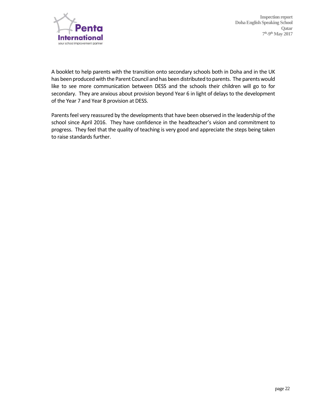

A booklet to help parents with the transition onto secondary schools both in Doha and in the UK has been produced with the Parent Council and has been distributed to parents. The parents would like to see more communication between DESS and the schools their children will go to for secondary. They are anxious about provision beyond Year 6 in light of delays to the development of the Year 7 and Year 8 provision at DESS.

Parents feel very reassured by the developments that have been observed in the leadership of the school since April 2016. They have confidence in the headteacher's vision and commitment to progress. They feel that the quality of teaching is very good and appreciate the steps being taken to raise standards further.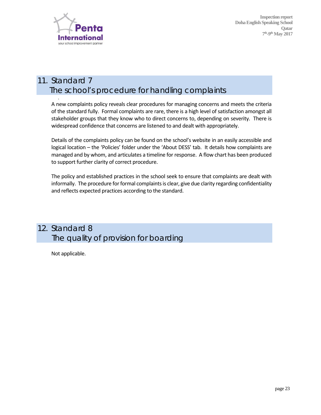

.

 **Inspection report Doha English Speaking School Qatar 7th-9th May 2017** 

# *11. Standard 7*  The school's procedure for handling complaints

A new complaints policy reveals clear procedures for managing concerns and meets the criteria of the standard fully. Formal complaints are rare, there is a high level of satisfaction amongst all stakeholder groups that they know who to direct concerns to, depending on severity. There is widespread confidence that concerns are listened to and dealt with appropriately.

Details of the complaints policy can be found on the school's website in an easily accessible and logical location – the 'Policies' folder under the 'About DESS' tab. It details how complaints are managed and by whom, and articulates a timeline for response. A flow chart has been produced to support further clarity of correct procedure.

The policy and established practices in the school seek to ensure that complaints are dealt with informally. The procedure for formal complaints is clear, give due clarity regarding confidentiality and reflects expected practices according to the standard.

# *12. Standard 8*  The quality of provision for boarding

Not applicable.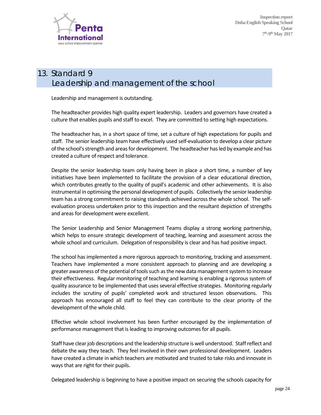

# *13. Standard 9*  Leadership and management of the school

Leadership and management is outstanding.

The headteacher provides high quality expert leadership. Leaders and governors have created a culture that enables pupils and staff to excel. They are committed to setting high expectations.

The headteacher has, in a short space of time, set a culture of high expectations for pupils and staff. The senior leadership team have effectively used self‐evaluation to develop a clear picture ofthe school'sstrength and areasfor development. The headteacher hasled by example and has created a culture of respect and tolerance.

Despite the senior leadership team only having been in place a short time, a number of key initiatives have been implemented to facilitate the provision of a clear educational direction, which contributes greatly to the quality of pupil's academic and other achievements. It is also instrumental in optimising the personal development of pupils. Collectively the senior leadership team has a strong commitment to raising standards achieved across the whole school. The self‐ evaluation process undertaken prior to this inspection and the resultant depiction of strengths and areas for development were excellent.

The Senior Leadership and Senior Management Teams display a strong working partnership, which helps to ensure strategic development of teaching, learning and assessment across the whole school and curriculum. Delegation of responsibility is clear and has had positive impact.

The school has implemented a more rigorous approach to monitoring, tracking and assessment. Teachers have implemented a more consistent approach to planning and are developing a greater awareness of the potential of tools such as the new data management system to increase their effectiveness. Regular monitoring of teaching and learning is enabling a rigorous system of quality assurance to be implemented that usesseveral effective strategies. Monitoring regularly includes the scrutiny of pupils' completed work and structured lesson observations. This approach has encouraged all staff to feel they can contribute to the clear priority of the development of the whole child.

Effective whole school involvement has been further encouraged by the implementation of performance management that isleading to improving outcomesfor all pupils.

Staff have clear job descriptions and the leadership structure is well understood. Staff reflect and debate the way they teach. They feel involved in their own professional development. Leaders have created a climate in which teachers are motivated and trusted to take risks and innovate in ways that are right for their pupils.

Delegated leadership is beginning to have a positive impact on securing the schools capacity for